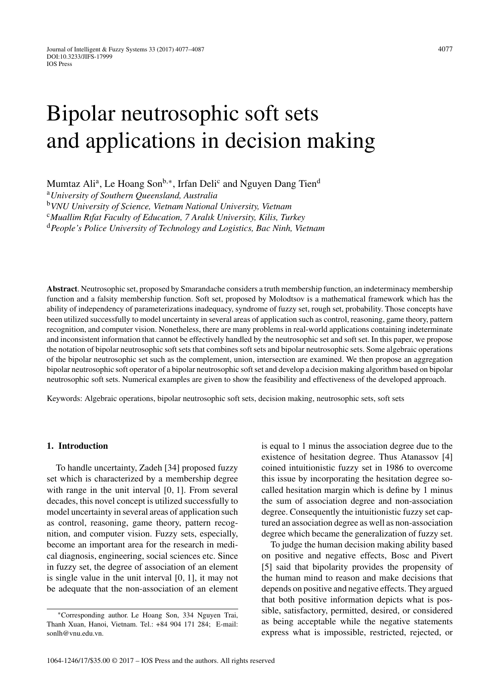# Bipolar neutrosophic soft sets and applications in decision making

Mumtaz Ali<sup>a</sup>, Le Hoang Son<sup>b,∗</sup>, Irfan Deli<sup>c</sup> and Nguyen Dang Tien<sup>d</sup>

<sup>a</sup>*University of Southern Queensland, Australia*

<sup>b</sup>*VNU University of Science, Vietnam National University, Vietnam*

<sup>c</sup>*Muallim Rıfat Faculty of Education, 7 Aralık University, Kilis, Turkey*

<sup>d</sup>*People's Police University of Technology and Logistics, Bac Ninh, Vietnam*

**Abstract**. Neutrosophic set, proposed by Smarandache considers a truth membership function, an indeterminacy membership function and a falsity membership function. Soft set, proposed by Molodtsov is a mathematical framework which has the ability of independency of parameterizations inadequacy, syndrome of fuzzy set, rough set, probability. Those concepts have been utilized successfully to model uncertainty in several areas of application such as control, reasoning, game theory, pattern recognition, and computer vision. Nonetheless, there are many problems in real-world applications containing indeterminate and inconsistent information that cannot be effectively handled by the neutrosophic set and soft set. In this paper, we propose the notation of bipolar neutrosophic soft sets that combines soft sets and bipolar neutrosophic sets. Some algebraic operations of the bipolar neutrosophic set such as the complement, union, intersection are examined. We then propose an aggregation bipolar neutrosophic soft operator of a bipolar neutrosophic soft set and develop a decision making algorithm based on bipolar neutrosophic soft sets. Numerical examples are given to show the feasibility and effectiveness of the developed approach.

Keywords: Algebraic operations, bipolar neutrosophic soft sets, decision making, neutrosophic sets, soft sets

## **1. Introduction**

To handle uncertainty, Zadeh [34] proposed fuzzy set which is characterized by a membership degree with range in the unit interval [0*,* 1]. From several decades, this novel concept is utilized successfully to model uncertainty in several areas of application such as control, reasoning, game theory, pattern recognition, and computer vision. Fuzzy sets, especially, become an important area for the research in medical diagnosis, engineering, social sciences etc. Since in fuzzy set, the degree of association of an element is single value in the unit interval [0*,* 1], it may not be adequate that the non-association of an element

is equal to 1 minus the association degree due to the existence of hesitation degree. Thus Atanassov [4] coined intuitionistic fuzzy set in 1986 to overcome this issue by incorporating the hesitation degree socalled hesitation margin which is define by 1 minus the sum of association degree and non-association degree. Consequently the intuitionistic fuzzy set captured an association degree as well as non-association degree which became the generalization of fuzzy set.

To judge the human decision making ability based on positive and negative effects, Bosc and Pivert [5] said that bipolarity provides the propensity of the human mind to reason and make decisions that depends on positive and negative effects. They argued that both positive information depicts what is possible, satisfactory, permitted, desired, or considered as being acceptable while the negative statements express what is impossible, restricted, rejected, or

<sup>∗</sup>Corresponding author. Le Hoang Son, 334 Nguyen Trai, Thanh Xuan, Hanoi, Vietnam. Tel.: +84 904 171 284; E-mail: [sonlh@vnu.edu.vn](mailto:sonlh@vnu.edu.vn).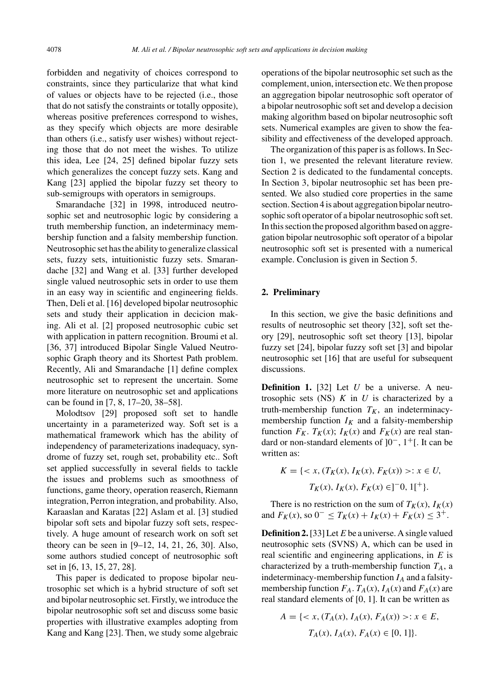forbidden and negativity of choices correspond to constraints, since they particularize that what kind of values or objects have to be rejected (i.e., those that do not satisfy the constraints or totally opposite), whereas positive preferences correspond to wishes, as they specify which objects are more desirable than others (i.e., satisfy user wishes) without rejecting those that do not meet the wishes. To utilize this idea, Lee [24, 25] defined bipolar fuzzy sets which generalizes the concept fuzzy sets. Kang and Kang [23] applied the bipolar fuzzy set theory to sub-semigroups with operators in semigroups.

Smarandache [32] in 1998, introduced neutrosophic set and neutrosophic logic by considering a truth membership function, an indeterminacy membership function and a falsity membership function. Neutrosophic set has the ability to generalize classical sets, fuzzy sets, intuitionistic fuzzy sets. Smarandache [32] and Wang et al. [33] further developed single valued neutrosophic sets in order to use them in an easy way in scientific and engineering fields. Then, Deli et al. [16] developed bipolar neutrosophic sets and study their application in decicion making. Ali et al. [2] proposed neutrosophic cubic set with application in pattern recognition. Broumi et al. [36, 37] introduced Bipolar Single Valued Neutrosophic Graph theory and its Shortest Path problem. Recently, Ali and Smarandache [1] define complex neutrosophic set to represent the uncertain. Some more literature on neutrosophic set and applications can be found in [7, 8, 17–20, 38–58].

Molodtsov [29] proposed soft set to handle uncertainty in a parameterized way. Soft set is a mathematical framework which has the ability of independency of parameterizations inadequacy, syndrome of fuzzy set, rough set, probability etc.. Soft set applied successfully in several fields to tackle the issues and problems such as smoothness of functions, game theory, operation reaserch, Riemann integration, Perron integration, and probability. Also, Karaaslan and Karatas [22] Aslam et al. [3] studied bipolar soft sets and bipolar fuzzy soft sets, respectively. A huge amount of research work on soft set theory can be seen in [9–12, 14, 21, 26, 30]. Also, some authors studied concept of neutrosophic soft set in [6, 13, 15, 27, 28].

This paper is dedicated to propose bipolar neutrosophic set which is a hybrid structure of soft set and bipolar neutrosophic set. Firstly, we introduce the bipolar neutrosophic soft set and discuss some basic properties with illustrative examples adopting from Kang and Kang [23]. Then, we study some algebraic

operations of the bipolar neutrosophic set such as the complement, union, intersection etc. We then propose an aggregation bipolar neutrosophic soft operator of a bipolar neutrosophic soft set and develop a decision making algorithm based on bipolar neutrosophic soft sets. Numerical examples are given to show the feasibility and effectiveness of the developed approach.

The organization of this paper is as follows. In Section 1, we presented the relevant literature review. Section 2 is dedicated to the fundamental concepts. In Section 3, bipolar neutrosophic set has been presented. We also studied core properties in the same section. Section 4 is about aggregation bipolar neutrosophic soft operator of a bipolar neutrosophic soft set. In this section the proposed algorithm based on aggregation bipolar neutrosophic soft operator of a bipolar neutrosophic soft set is presented with a numerical example. Conclusion is given in Section 5.

#### **2. Preliminary**

In this section, we give the basic definitions and results of neutrosophic set theory [32], soft set theory [29], neutrosophic soft set theory [13], bipolar fuzzy set [24], bipolar fuzzy soft set [3] and bipolar neutrosophic set [16] that are useful for subsequent discussions.

**Definition 1.** [32] Let *U* be a universe. A neutrosophic sets  $(NS)$  *K* in *U* is characterized by a truth-membership function  $T_K$ , an indeterminacymembership function  $I_K$  and a falsity-membership function  $F_K$ .  $T_K(x)$ ;  $I_K(x)$  and  $F_K(x)$  are real standard or non-standard elements of ]0−, 1+[*.* It can be written as:

$$
K = \{ \langle x, (T_K(x), I_K(x), F_K(x)) \rangle : x \in U, T_K(x), I_K(x), F_K(x) \in ][0, 1[+] \}.
$$

There is no restriction on the sum of  $T_K(x)$ ,  $I_K(x)$ and  $F_K(x)$ , so  $0^- \le T_K(x) + I_K(x) + F_K(x) \le 3^+$ .

**Definition 2.**[33] Let *E* be a universe. A single valued neutrosophic sets (SVNS) A, which can be used in real scientific and engineering applications, in *E* is characterized by a truth-membership function  $T_A$ , a indeterminacy-membership function  $I_A$  and a falsitymembership function  $F_A$ .  $T_A(x)$ ,  $I_A(x)$  and  $F_A(x)$  are real standard elements of [0*,* 1]. It can be written as

$$
A = \{ \langle x, (T_A(x), I_A(x), F_A(x)) \rangle : x \in E, T_A(x), I_A(x), F_A(x) \in [0, 1] \}.
$$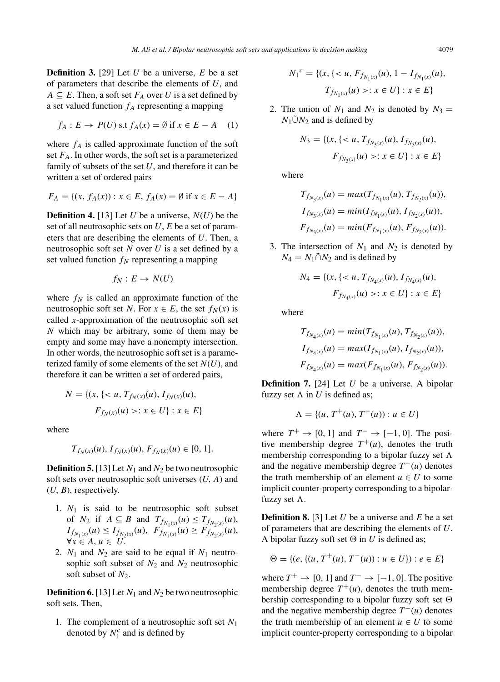**Definition 3.** [29] Let *U* be a universe, *E* be a set of parameters that describe the elements of *U*, and  $A \subseteq E$ . Then, a soft set  $F_A$  over *U* is a set defined by a set valued function  $f_A$  representing a mapping

$$
f_A: E \to P(U) \text{ s.t } f_A(x) = \emptyset \text{ if } x \in E - A \quad (1)
$$

where  $f_A$  is called approximate function of the soft set  $F_A$ . In other words, the soft set is a parameterized family of subsets of the set *U*, and therefore it can be written a set of ordered pairs

$$
F_A = \{(x, f_A(x)) : x \in E, f_A(x) = \emptyset \text{ if } x \in E - A\}
$$

**Definition 4.** [13] Let *U* be a universe,  $N(U)$  be the set of all neutrosophic sets on *U*, *E* be a set of parameters that are describing the elements of *U*. Then, a neutrosophic soft set *N* over *U* is a set defined by a set valued function  $f_N$  representing a mapping

$$
f_N: E \to N(U)
$$

where  $f_N$  is called an approximate function of the neutrosophic soft set *N*. For  $x \in E$ , the set  $f_N(x)$  is called *x*-approximation of the neutrosophic soft set *N* which may be arbitrary, some of them may be empty and some may have a nonempty intersection. In other words, the neutrosophic soft set is a parameterized family of some elements of the set *N*(*U*), and therefore it can be written a set of ordered pairs,

$$
N = \{(x, \{< u, T_{f_N(x)}(u), I_{f_N(x)}(u),\n\}F_{f_N(x)}(u) > : x \in U\} : x \in E\}
$$

where

$$
T_{f_N(x)}(u),\,I_{f_N(x)}(u),\,F_{f_N(x)}(u)\in[0,\,1].
$$

**Definition 5.** [13] Let *N*<sup>1</sup> and *N*<sup>2</sup> be two neutrosophic soft sets over neutrosophic soft universes (*U, A*) and (*U, B*), respectively.

- 1.  $N_1$  is said to be neutrosophic soft subset of *N*<sub>2</sub> if  $A \subseteq B$  and  $T_{f_{N_1(x)}}(u) \le T_{f_{N_2(x)}}(u)$ ,  $I_{f_{N_1(x)}}(u) \leq I_{f_{N_2(x)}}(u), \ \ F_{f_{N_1(x)}}(u) \geq F_{f_{N_2(x)}}(u),$  $\forall x \in A, u \in U$ .
- 2.  $N_1$  and  $N_2$  are said to be equal if  $N_1$  neutrosophic soft subset of  $N_2$  and  $N_2$  neutrosophic soft subset of  $N_2$ .

**Definition 6.** [13] Let  $N_1$  and  $N_2$  be two neutrosophic soft sets. Then,

1. The complement of a neutrosophic soft set *N*<sup>1</sup> denoted by  $N_1^c$  and is defined by

$$
N_1^c = \{ (x, \{ < u, F_{f_{N_1(x)}}(u), 1 - I_{f_{N_1(x)}}(u),
$$
  

$$
T_{f_{N_1(x)}}(u) > : x \in U \} : x \in E \}
$$

2. The union of  $N_1$  and  $N_2$  is denoted by  $N_3 =$  $N_1\tilde{\cup}N_2$  and is defined by

$$
N_3 = \{ (x, \{ < u, T_{f_{N_3(x)}}(u), I_{f_{N_3(x)}}(u),
$$
\n
$$
F_{f_{N_3(x)}}(u) > : x \in U \} : x \in E \}
$$

where

$$
T_{f_{N_3(x)}}(u) = max(T_{f_{N_1(x)}}(u), T_{f_{N_2(x)}}(u)),
$$
  
\n
$$
I_{f_{N_3(x)}}(u) = min(I_{f_{N_1(x)}}(u), I_{f_{N_2(x)}}(u)),
$$
  
\n
$$
F_{f_{N_3(x)}}(u) = min(F_{f_{N_1(x)}}(u), F_{f_{N_2(x)}}(u)).
$$

3. The intersection of  $N_1$  and  $N_2$  is denoted by  $N_4 = N_1 \tilde{\cap} N_2$  and is defined by

$$
N_4 = \{ (x, \{ < u, T_{f_{N_4(x)}}(u), I_{f_{N_4(x)}}(u),
$$
\n
$$
F_{f_{N_4(x)}}(u) > : x \in U \} : x \in E \}
$$

where

$$
T_{f_{N_4(x)}}(u) = min(T_{f_{N_1(x)}}(u), T_{f_{N_2(x)}}(u)),
$$
  
\n
$$
I_{f_{N_4(x)}}(u) = max(I_{f_{N_1(x)}}(u), I_{f_{N_2(x)}}(u)),
$$
  
\n
$$
F_{f_{N_4(x)}}(u) = max(F_{f_{N_1(x)}}(u), F_{f_{N_2(x)}}(u)).
$$

**Definition 7.** [24] Let *U* be a universe. A bipolar fuzzy set  $\Lambda$  in *U* is defined as;

$$
\Lambda = \{(u, T^+(u), T^-(u)) : u \in U\}
$$

where  $T^+ \rightarrow [0, 1]$  and  $T^- \rightarrow [-1, 0]$ . The positive membership degree  $T^+(u)$ , denotes the truth membership corresponding to a bipolar fuzzy set  $\Lambda$ and the negative membership degree  $T^-(u)$  denotes the truth membership of an element  $u \in U$  to some implicit counter-property corresponding to a bipolarfuzzy set  $\Lambda$ .

**Definition 8.** [3] Let *U* be a universe and *E* be a set of parameters that are describing the elements of *U*. A bipolar fuzzy soft set  $\Theta$  in *U* is defined as;

$$
\Theta = \{ (e, \{ (u, T^+(u), T^-(u)) : u \in U \}) : e \in E \}
$$

where  $T^+ \rightarrow [0, 1]$  and  $T^- \rightarrow [-1, 0]$ . The positive membership degree  $T^+(u)$ , denotes the truth membership corresponding to a bipolar fuzzy soft set  $\Theta$ and the negative membership degree  $T^-(u)$  denotes the truth membership of an element  $u \in U$  to some implicit counter-property corresponding to a bipolar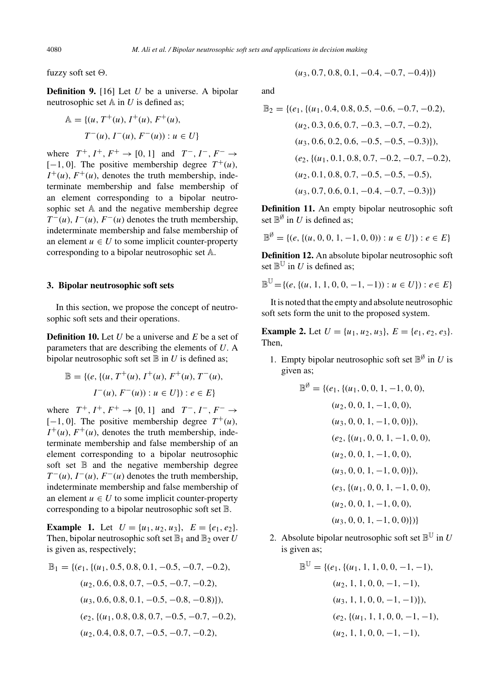fuzzy soft set  $\Theta$ .

**Definition 9.** [16] Let *U* be a universe. A bipolar neutrosophic set A in *U* is defined as;

$$
\mathbb{A} = \{ (u, T^+(u), I^+(u), F^+(u),
$$
  

$$
T^-(u), I^-(u), F^-(u)) : u \in U \}
$$

where  $T^+$ ,  $I^+$ ,  $F^+$  → [0, 1] and  $T^-$ ,  $I^-$ ,  $F^-$  →  $[-1, 0]$ . The positive membership degree  $T^+(u)$ ,  $I^+(u)$ ,  $F^+(u)$ , denotes the truth membership, indeterminate membership and false membership of an element corresponding to a bipolar neutrosophic set A and the negative membership degree  $T^-(u)$ ,  $I^-(u)$ ,  $F^-(u)$  denotes the truth membership, indeterminate membership and false membership of an element  $u \in U$  to some implicit counter-property corresponding to a bipolar neutrosophic set A.

## **3. Bipolar neutrosophic soft sets**

In this section, we propose the concept of neutrosophic soft sets and their operations.

**Definition 10.** Let *U* be a universe and *E* be a set of parameters that are describing the elements of *U*. A bipolar neutrosophic soft set  $\mathbb B$  in  $U$  is defined as;

$$
\mathbb{B} = \{ (e, \{ (u, T^+(u), I^+(u), F^+(u), T^-(u),
$$
  

$$
I^-(u), F^-(u)) : u \in U \} ) : e \in E \}
$$

where  $T^+$ ,  $I^+$ ,  $F^+$   $\rightarrow$  [0, 1] and  $T^-$ ,  $I^-$ ,  $F^ \rightarrow$  $[-1, 0]$ . The positive membership degree  $T^+(u)$ ,  $I^+(u)$ ,  $F^+(u)$ , denotes the truth membership, indeterminate membership and false membership of an element corresponding to a bipolar neutrosophic soft set  $\mathbb B$  and the negative membership degree  $T^-(u)$ ,  $I^-(u)$ ,  $F^-(u)$  denotes the truth membership, indeterminate membership and false membership of an element  $u \in U$  to some implicit counter-property corresponding to a bipolar neutrosophic soft set B.

**Example 1.** Let  $U = \{u_1, u_2, u_3\}, E = \{e_1, e_2\}.$ Then, bipolar neutrosophic soft set  $\mathbb{B}_1$  and  $\mathbb{B}_2$  over *U* is given as, respectively;

$$
\mathbb{B}_1 = \{ (e_1, \{ (u_1, 0.5, 0.8, 0.1, -0.5, -0.7, -0.2), (u_2, 0.6, 0.8, 0.7, -0.5, -0.7, -0.2), (u_3, 0.6, 0.8, 0.1, -0.5, -0.8, -0.8) \},\
$$

$$
(e_2, \{ (u_1, 0.8, 0.8, 0.7, -0.5, -0.7, -0.2), (u_2, 0.4, 0.8, 0.7, -0.5, -0.7, -0.2), (u_3, 0.4, 0.8, 0.7, -0.5, -0.7, -0.2) \}
$$

$$
(u_3, 0.7, 0.8, 0.1, -0.4, -0.7, -0.4))
$$

and

$$
\mathbb{B}_2 = \{(e_1, \{(u_1, 0.4, 0.8, 0.5, -0.6, -0.7, -0.2), (u_2, 0.3, 0.6, 0.7, -0.3, -0.7, -0.2), (u_3, 0.6, 0.2, 0.6, -0.5, -0.5, -0.3)\}),
$$
  
\n
$$
(e_2, \{(u_1, 0.1, 0.8, 0.7, -0.2, -0.7, -0.2), (u_2, 0.1, 0.8, 0.7, -0.5, -0.5, -0.5), (u_3, 0.7, 0.6, 0.1, -0.4, -0.7, -0.3)\})
$$

**Definition 11.** An empty bipolar neutrosophic soft set  $\mathbb{B}^{\emptyset}$  in *U* is defined as;

$$
\mathbb{B}^{\emptyset} = \{(e, \{(u, 0, 0, 1, -1, 0, 0)) : u \in U\}) : e \in E\}
$$

**Definition 12.** An absolute bipolar neutrosophic soft set  $\mathbb{B}^{\mathbb{U}}$  in *U* is defined as;

$$
\mathbb{B}^{\mathbb{U}} = \{ (e, \{(u, 1, 1, 0, 0, -1, -1)) : u \in U \} ) : e \in E \}
$$

It is noted that the empty and absolute neutrosophic soft sets form the unit to the proposed system.

**Example 2.** Let  $U = \{u_1, u_2, u_3\}$ ,  $E = \{e_1, e_2, e_3\}$ . Then,

1. Empty bipolar neutrosophic soft set  $\mathbb{B}^{\emptyset}$  in *U* is given as;

$$
\mathbb{B}^{\emptyset} = \{ (e_1, \{(u_1, 0, 0, 1, -1, 0, 0),
$$
  
\n $(u_2, 0, 0, 1, -1, 0, 0),$   
\n $(u_3, 0, 0, 1, -1, 0, 0) \},$   
\n $(e_2, \{(u_1, 0, 0, 1, -1, 0, 0),$   
\n $(u_2, 0, 0, 1, -1, 0, 0),$   
\n $(u_3, 0, 0, 1, -1, 0, 0) \},$   
\n $(e_3, \{(u_1, 0, 0, 1, -1, 0, 0),$   
\n $(u_2, 0, 0, 1, -1, 0, 0),$   
\n $(u_3, 0, 0, 1, -1, 0, 0) \}$ 

2. Absolute bipolar neutrosophic soft set  $\mathbb{B}^{\mathbb{U}}$  in *U* is given as;

$$
\mathbb{B}^{\mathbb{U}} = \{ (e_1, \{(u_1, 1, 1, 0, 0, -1, -1),(u_2, 1, 1, 0, 0, -1, -1),(u_3, 1, 1, 0, 0, -1, -1) \}),(e_2, \{(u_1, 1, 1, 0, 0, -1, -1),(u_2, 1, 1, 0, 0, -1, -1),
$$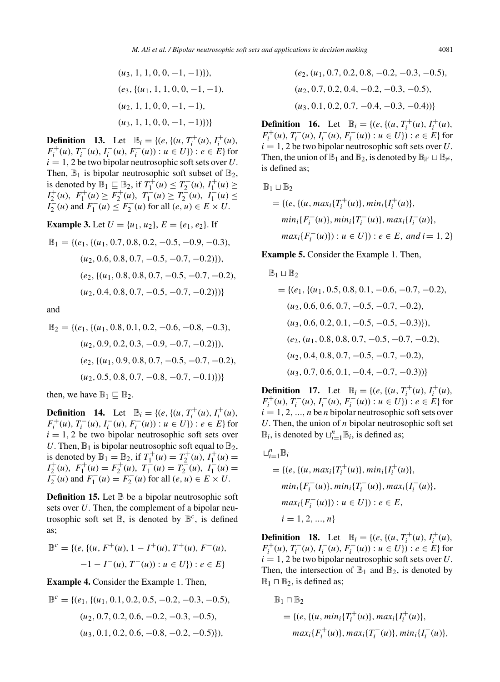$\mathbb{R}$ 

$$
(u_3, 1, 1, 0, 0, -1, -1)\},
$$
  

$$
(e_3, \{(u_1, 1, 1, 0, 0, -1, -1),
$$
  

$$
(u_2, 1, 1, 0, 0, -1, -1),
$$
  

$$
(u_3, 1, 1, 0, 0, -1, -1)\})
$$

**Definition 13.** Let  $\mathbb{B}_i = \{ (e, \{(u, T_i^+(u), I_i^+(u)),$  $F_i^+(u)$ ,  $T_i^-(u)$ ,  $F_i^-(u)$ ,  $F_i^-(u)$ ) :  $u \in U$ } :  $e \in E$ } for  $i = 1, 2$  be two bipolar neutrosophic soft sets over *U*. Then,  $\mathbb{B}_1$  is bipolar neutrosophic soft subset of  $\mathbb{B}_2$ , is denoted by  $\mathbb{B}_1 \subseteq \mathbb{B}_2$ , if  $T_1^+(u) \leq T_2^+(u)$ ,  $I_1^+(u) \geq$  $I_2^+(u)$ ,  $F_1^+(u) \ge F_2^+(u)$ ,  $T_1^-(u) \ge T_2^-(u)$ ,  $I_1^-(u) \le$  $I_2^{-}(u)$  and  $F_1^{-}(u) \leq F_2^{-}(u)$  for all  $(e, u) \in E \times U$ .

**Example 3.** Let  $U = \{u_1, u_2\}$ ,  $E = \{e_1, e_2\}$ . If

$$
\mathbb{B}_1 = \{ (e_1, \{ (u_1, 0.7, 0.8, 0.2, -0.5, -0.9, -0.3), (u_2, 0.6, 0.8, 0.7, -0.5, -0.7, -0.2) \}), (e_2, \{ (u_1, 0.8, 0.8, 0.7, -0.5, -0.7, -0.2), (u_2, 0.4, 0.8, 0.7, -0.5, -0.7, -0.2) \}) \}
$$

and

$$
\mathbb{B}_2 = \{ (e_1, \{ (u_1, 0.8, 0.1, 0.2, -0.6, -0.8, -0.3), (u_2, 0.9, 0.2, 0.3, -0.9, -0.7, -0.2) \}), (e_2, \{ (u_1, 0.9, 0.8, 0.7, -0.5, -0.7, -0.2), (u_2, 0.5, 0.8, 0.7, -0.8, -0.7, -0.1) \}) \}
$$

then, we have  $\mathbb{B}_1 \subseteq \mathbb{B}_2$ .

**Definition 14.** Let  $\mathbb{B}_i = \{(e, \{(u, T_i^+(u), I_i^+(u)),$  $F_i^+(u)$ ,  $T_i^-(u)$ ,  $I_i^-(u)$ ,  $F_i^-(u)$ ) :  $u \in U$ } :  $e \in E$ } for  $i = 1, 2$  be two bipolar neutrosophic soft sets over *U*. Then,  $\mathbb{B}_1$  is bipolar neutrosophic soft equal to  $\mathbb{B}_2$ , is denoted by  $\mathbb{B}_1 = \mathbb{B}_2$ , if  $T_1^+(u) = T_2^+(u)$ ,  $T_1^+(u) =$  $I_2^+(u)$ ,  $F_1^+(u) = F_2^+(u)$ ,  $T_1^-(u) = T_2^-(u)$ ,  $I_1^-(u) =$  $I_2^-(u)$  and  $F_1^-(u) = F_2^-(u)$  for all  $(e, u) \in E \times U$ .

**Definition 15.** Let  $\mathbb B$  be a bipolar neutrosophic soft sets over *U*. Then, the complement of a bipolar neutrosophic soft set  $\mathbb{B}$ , is denoted by  $\mathbb{B}^c$ , is defined as;

$$
\mathbb{B}^c = \{ (e, \{(u, F^+(u), 1 - I^+(u), T^+(u), F^-(u),
$$
  

$$
-1 - I^-(u), T^-(u)) : u \in U \}) : e \in E \}
$$

**Example 4.** Consider the Example 1. Then,

$$
\mathbb{B}^c = \{ (e_1, \{ (u_1, 0.1, 0.2, 0.5, -0.2, -0.3, -0.5), (u_2, 0.7, 0.2, 0.6, -0.2, -0.3, -0.5), (u_3, 0.1, 0.2, 0.6, -0.8, -0.2, -0.5) \},\}
$$

$$
(e_2, (u_1, 0.7, 0.2, 0.8, -0.2, -0.3, -0.5),(u_2, 0.7, 0.2, 0.4, -0.2, -0.3, -0.5),(u_3, 0.1, 0.2, 0.7, -0.4, -0.3, -0.4))}
$$

**Definition 16.** Let  $\mathbb{B}_i = \{ (e, \{(u, T_i^+(u), I_i^+(u)),$  $F_i^+(u)$ ,  $T_i^-(u)$ ,  $I_i^-(u)$ ,  $F_i^-(u)$ ) :  $u \in U$ }) :  $e \in E$ } for  $i = 1, 2$  be two bipolar neutrosophic soft sets over *U*. Then, the union of  $\mathbb{B}_1$  and  $\mathbb{B}_2$ , is denoted by  $\mathbb{B}_1 \cup \mathbb{B}_2$ , is defined as;

$$
1 \sqcup \mathbb{B}_2
$$
  
= { $(e, {(u, max_i\{T_i^+(u)\}, min_i\{I_i^+(u)\},\nmin_i\{F_i^+(u)\}, min_i\{T_i^-(u)\}, max_i\{I_i^-(u)\},\nmax_i\{F_i^-(u)\}) : u \in U\}) : e \in E, and i = 1, 2}$ 

**Example 5.** Consider the Example 1. Then,

$$
\mathbb{B}_1 \sqcup \mathbb{B}_2
$$
\n= {(*e*<sub>1</sub>, {(*u*<sub>1</sub>, 0.5, 0.8, 0.1, -0.6, -0.7, -0.2),  
\n(*u*<sub>2</sub>, 0.6, 0.6, 0.7, -0.5, -0.7, -0.2),  
\n(*u*<sub>3</sub>, 0.6, 0.2, 0.1, -0.5, -0.5, -0.3)}),  
\n(*e*<sub>2</sub>, (*u*<sub>1</sub>, 0.8, 0.8, 0.7, -0.5, -0.7, -0.2),  
\n(*u*<sub>2</sub>, 0.4, 0.8, 0.7, -0.5, -0.7, -0.2),  
\n(*u*<sub>3</sub>, 0.7, 0.6, 0.1, -0.4, -0.7, -0.3))}

**Definition 17.** Let  $\mathbb{B}_i = \{ (e, \{(u, T_i^+(u), I_i^+(u)),$  $F_i^+(u)$ ,  $T_i^-(u)$ ,  $F_i^-(u)$ ,  $F_i^-(u)$ ) :  $u \in U$ }) :  $e \in E$ } for  $i = 1, 2, ..., n$  be *n* bipolar neutrosophic soft sets over *U*. Then, the union of *n* bipolar neutrosophic soft set  $\mathbb{B}_i$ , is denoted by  $\bigcup_{i=1}^n \mathbb{B}_i$ , is defined as;

$$
\Box_{i=1}^{n} \mathbb{B}_{i}
$$
\n= { $(e, \{(u, max_{i} \{T_{i}^{+}(u)\}, min_{i} \{I_{i}^{+}(u)\},$   
\n $min_{i} \{F_{i}^{+}(u)\}, min_{i} \{T_{i}^{-}(u)\}, max_{i} \{I_{i}^{-}(u)\},$   
\n $max_{i} \{F_{i}^{-}(u)\} : u \in U\} : e \in E,$   
\n $i = 1, 2, ..., n$ }

**Definition 18.** Let  $\mathbb{B}_i = \{ (e, \{(u, T_i^+(u), I_i^+(u)),$  $F_i^+(u)$ ,  $T_i^-(u)$ ,  $F_i^-(u)$ ,  $F_i^-(u)$ ) :  $u \in U$ }) :  $e \in E$ } for  $i = 1, 2$  be two bipolar neutrosophic soft sets over  $U$ . Then, the intersection of  $\mathbb{B}_1$  and  $\mathbb{B}_2$ , is denoted by  $\mathbb{B}_1 \sqcap \mathbb{B}_2$ , is defined as;

$$
\mathbb{B}_1 \cap \mathbb{B}_2
$$
  
= { $(e, {(u, min_i\{T_i^+(u)\}, max_i\{I_i^+(u)\}, max_i\{I_i^-(u)\}, max_i\{F_i^-(u)\}, min_i\{I_i^-(u)\}, max_i\{I_i^-(u)\},$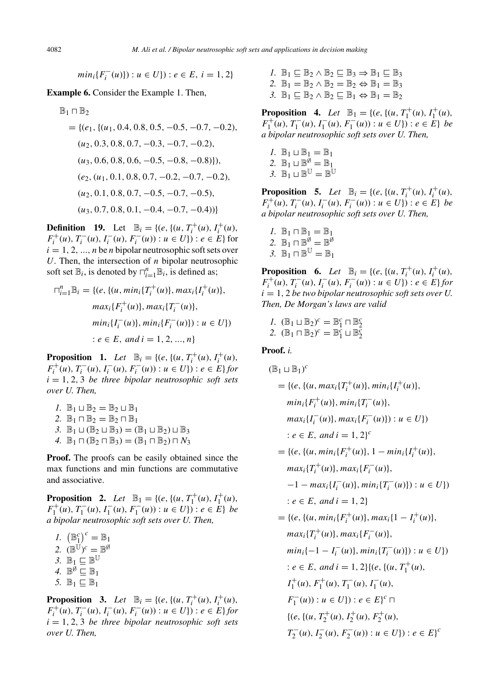$$
min_i\{F_i^-(u)\}: u \in U\}: e \in E, i = 1, 2\}
$$

**Example 6.** Consider the Example 1. Then,

$$
\mathbb{B}_1 \sqcap \mathbb{B}_2
$$
\n= {(*e*<sub>1</sub>, {(*u*<sub>1</sub>, 0.4, 0.8, 0.5, -0.5, -0.7, -0.2),  
\n(*u*<sub>2</sub>, 0.3, 0.8, 0.7, -0.3, -0.7, -0.2),  
\n(*u*<sub>3</sub>, 0.6, 0.8, 0.6, -0.5, -0.8, -0.8)}),  
\n(*e*<sub>2</sub>, (*u*<sub>1</sub>, 0.1, 0.8, 0.7, -0.2, -0.7, -0.2),  
\n(*u*<sub>2</sub>, 0.1, 0.8, 0.7, -0.5, -0.7, -0.5),  
\n(*u*<sub>3</sub>, 0.7, 0.8, 0.1, -0.4, -0.7, -0.4))}

**Definition 19.** Let  $\mathbb{B}_i = \{ (e, \{(u, T_i^+(u), I_i^+(u)),$  $F_i^+(u)$ ,  $T_i^-(u)$ ,  $F_i^-(u)$ ,  $F_i^-(u)$ ) :  $u \in U$ } :  $e \in E$ } for  $i = 1, 2, ..., n$  be *n* bipolar neutrosophic soft sets over *U*. Then, the intersection of *n* bipolar neutrosophic soft set  $\mathbb{B}_i$ , is denoted by  $\bigcap_{i=1}^n \mathbb{B}_i$ , is defined as;

$$
\begin{aligned} \n\Box_{i=1}^n \mathbb{B}_i &= \{ (e, \{ (u, \min_i \{ T_i^+(u) \}, \max_i \{ I_i^+(u) \}, \max_i \{ F_i^+(u) \}, \max_i \{ F_i^-(u) \}, \min_i \{ I_i^-(u) \}, \min_i \{ F_i^-(u) \} ) : u \in U \} ) \\ \n& \therefore e \in E, \text{ and } i = 1, 2, \dots, n \} \n\end{aligned}
$$

**Proposition 1.** *Let*  $\mathbb{B}_i = \{ (e, \{(u, T_i^+(u), I_i^+(u)),$  $F_i^+(u)$ ,  $T_i^-(u)$ ,  $I_i^-(u)$ ,  $F_i^-(u)$ ) :  $u \in U$ ) :  $e \in E$  *for*  $i = 1, 2, 3$  *be three bipolar neutrosophic soft sets over U. Then,*

1. 
$$
\mathbb{B}_1 \sqcup \mathbb{B}_2 = \mathbb{B}_2 \sqcup \mathbb{B}_1
$$
  
\n2.  $\mathbb{B}_1 \sqcap \mathbb{B}_2 = \mathbb{B}_2 \sqcap \mathbb{B}_1$   
\n3.  $\mathbb{B}_1 \sqcup (\mathbb{B}_2 \sqcup \mathbb{B}_3) = (\mathbb{B}_1 \sqcup \mathbb{B}_2) \sqcup \mathbb{B}_3$   
\n4.  $\mathbb{B}_1 \sqcap (\mathbb{B}_2 \sqcap \mathbb{B}_3) = (\mathbb{B}_1 \sqcap \mathbb{B}_2) \sqcap N_3$ 

**Proof.** The proofs can be easily obtained since the max functions and min functions are commutative and associative.

**Proposition 2.** *Let*  $\mathbb{B}_1 = \{ (e, \{(u, T_1^+(u), I_1^+(u)),$  $F_1^+(u)$ ,  $T_1^-(u)$ ,  $T_1^-(u)$ ,  $F_1^-(u)$ ) :  $u \in U$ }) :  $e \in E$ } *be a bipolar neutrosophic soft sets over U. Then,*

*I*.  $(\mathbb{B}_1^c)^c = \mathbb{B}_1$ 2.  $(\mathbb{B}^{\mathbb{U}})^c = \mathbb{B}^{\emptyset}$ 3.  $\mathbb{B}_1 \subseteq \mathbb{B}^{\mathbb{U}}$ 4.  $\mathbb{B}^{\emptyset} \subseteq \mathbb{B}_1$ 5.  $\mathbb{B}_1 \subseteq \mathbb{B}_1$ 

**Proposition 3.** *Let*  $\mathbb{B}_i = \{ (e, \{(u, T_i^+(u), I_i^+(u)),$  $F_i^+(u)$ ,  $T_i^-(u)$ ,  $I_i^-(u)$ ,  $F_i^-(u)$ ) :  $u \in U$ ) :  $e \in E$  *for*  $i = 1, 2, 3$  *be three bipolar neutrosophic soft sets over U. Then,*

*I*.  $\mathbb{B}_1 \sqsubset \mathbb{B}_2 \wedge \mathbb{B}_2 \sqsubset \mathbb{B}_3 \Rightarrow \mathbb{B}_1 \sqsubset \mathbb{B}_3$ 2.  $\mathbb{B}_1 = \mathbb{B}_2 \wedge \mathbb{B}_2 = \mathbb{B}_2 \Leftrightarrow \mathbb{B}_1 = \mathbb{B}_3$ 3.  $\mathbb{B}_1 \sqsubset \mathbb{B}_2 \wedge \mathbb{B}_2 \sqsubset \mathbb{B}_1 \Leftrightarrow \mathbb{B}_1 = \mathbb{B}_2$ 

**Proposition 4.** *Let*  $\mathbb{B}_1 = \{ (e, \{(u, T_1^+(u), I_1^+(u)),$  $F_1^+(u)$ ,  $T_1^-(u)$ ,  $F_1^-(u)$ ,  $F_1^-(u)$ ) :  $u \in U$ }) :  $e \in E$ } *be a bipolar neutrosophic soft sets over U. Then,*

\n- $$
I. \mathbb{B}_1 \sqcup \mathbb{B}_1 = \mathbb{B}_1
$$
\n- $\mathbb{B}_1 \sqcup \mathbb{B}^{\emptyset} = \mathbb{B}_1$
\n- $\mathbb{B}_1 \sqcup \mathbb{B}^{\emptyset} = \mathbb{B}_1$
\n- $\mathbb{B}_1 \sqcup \mathbb{B}^{\mathbb{U}} = \mathbb{B}^{\mathbb{U}}$
\n

**Proposition 5.** *Let*  $\mathbb{B}_i = \{ (e, \{(u, T_i^+(u), I_i^+(u)),$  $F_i^+(u)$ ,  $T_i^-(u)$ ,  $I_i^-(u)$ ,  $F_i^-(u)$ ) :  $u \in U$ }) :  $e \in E$ } *be a bipolar neutrosophic soft sets over U. Then,*

*1.*  $\mathbb{B}_1 \cap \mathbb{B}_1 = \mathbb{B}_1$ 2.  $\mathbb{B}_1 \cap \mathbb{B}^{\emptyset} = \mathbb{B}^{\emptyset}$ 3.  $\mathbb{B}_1 \cap \mathbb{B}^{\mathbb{U}} = \mathbb{B}_1$ 

**Proposition 6.** *Let*  $\mathbb{B}_i = \{ (e, \{(u, T_i^+(u), I_i^+(u)),$  $F_i^+(u)$ ,  $T_i^-(u)$ ,  $I_i^-(u)$ ,  $F_i^-(u)$ ) :  $u \in U$ }) :  $e \in E$ } *for*  $i = 1, 2$  *be two bipolar neutrosophic soft sets over U. Then, De Morgan's laws are valid*

*1*.  $(\mathbb{B}_1 \sqcup \mathbb{B}_2)^c = \mathbb{B}_1^c \sqcap \mathbb{B}_2^c$ <br> *2*.  $(\mathbb{B}_1 \sqcap \mathbb{B}_2)^c = \mathbb{B}_1^c \sqcup \mathbb{B}_2^c$ 

### **Proof.** *i.*

$$
(\mathbb{B}_1 \sqcup \mathbb{B}_1)^c
$$
  
= { $(e, {(u, max_i\{T_i^+(u)\}, min_i\{I_i^+(u)\},\nmin_i\{I_i^+(u)\},\nmin_i\{F_i^-(u)\}, min_i\{T_i^-(u)\})$   
 $max_i\{I_i^-(u)\}, max_i\{F_i^-(u)\} : u \in U\})$   
 $: e \in E, and i = 1, 2\}^c$   
= { $(e, {(u, min_i\{F_i^+(u)\}, 1 - min_i\{I_i^+(u)\},\nmax_i\{T_i^+(u)\}, max_i\{T_i^-(u)\},\n-1 - max_i\{I_i^-(u)\}, min_i\{T_i^-(u)\}) : u \in U\})$   
 $: e \in E, and i = 1, 2\}$   
= { $(e, {(u, min_i\{F_i^+(u)\}, max_i\{1 - I_i^+(u)\},\nmax_i\{T_i^+(u)\}, max_i\{F_i^-(u)\},\nmin_i\{-1 - I_i^-(u)\}, min_i\{T_i^-(u)\}) : u \in U\})$   
 $: e \in E, and i = 1, 2\{(e, {(u, T_i^+(u),\nI_i^-(u), F_i^-(u),\nI_i^-(u), F_i^-(u),\nI_i^-(u), F_i^-(u), T_i^-(u),\nI_i^-(u)) : u \in U\}) : e \in E\}^c$   
{ $(e, {(u, T_i^+(u), T_i^-(u), I_i^-(u), F_i^-(u)) : e \in E}^c)$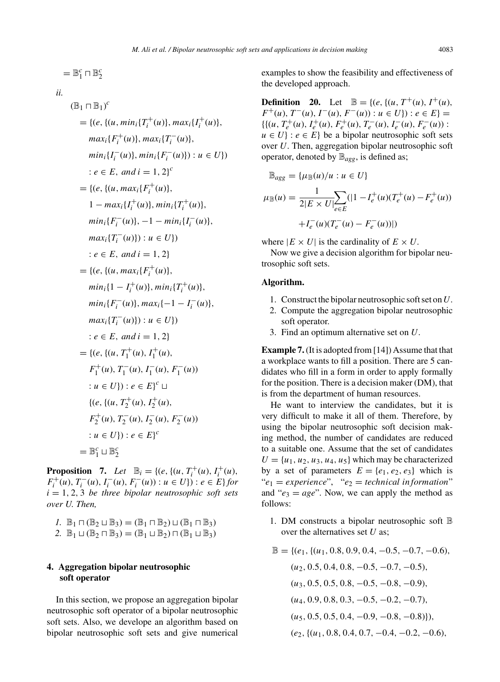$$
= \mathbb{B}_1^c \sqcap \mathbb{B}_2^c
$$

*ii.*

$$
(\mathbb{B}_{1} \cap \mathbb{B}_{1})^{c}
$$
\n
$$
= \{ (e, \{(u, min_{i} \{T_{i}^{+}(u)\}, max_{i} \{I_{i}^{+}(u)\}, max_{i} \{I_{i}^{+}(u)\}, max_{i} \{F_{i}^{-}(u)\}, max_{i} \{I_{i}^{-}(u)\}, max_{i} \{I_{i}^{-}(u)\}, min_{i} \{I_{i}^{-}(u)\} ) : u \in U \} )
$$
\n
$$
:= e \in E, and i = 1, 2 \}^{c}
$$
\n
$$
= \{ (e, \{(u, max_{i} \{F_{i}^{+}(u)\}, min_{i} \{T_{i}^{+}(u)\}, max_{i} \{I_{i}^{-}(u)\}, max_{i} \{I_{i}^{-}(u)\}, min_{i} \{F_{i}^{-}(u)\}, -1 - min_{i} \{I_{i}^{-}(u)\}, max_{i} \{T_{i}^{-}(u)\} ) : u \in U \} )
$$
\n
$$
:= e \in E, and i = 1, 2 \}
$$
\n
$$
= \{ (e, \{(u, max_{i} \{F_{i}^{+}(u)\}, min_{i} \{T_{i}^{+}(u)\}, min_{i} \{I_{i}^{-}(u)\}, min_{i} \{I_{i}^{-}(u)\}, min_{i} \{F_{i}^{-}(u)\}, max_{i} \{I_{i}^{-}(u)\}, max_{i} \{I_{i}^{-}(u)\} ) : u \in U \} )
$$
\n
$$
:= e \in E, and i = 1, 2 \}
$$
\n
$$
= \{ (e, \{(u, T_{1}^{+}(u), I_{1}^{+}(u), max_{i} \{I_{i}^{-}(u)\}, max_{i} \{T_{i}^{-}(u)\}, F_{i}^{-}(u)\}, Var_{i}^{-}(u), T_{i}^{-}(u), T_{i}^{-}(u), T_{i}^{-}(u), T_{i}^{-}(u), T_{i}^{-}(u), T_{i}^{-}(u), T_{i}^{-}(u), T_{i}^{-}(u), T_{i}^{-}(u), T_{i}^{-}(u), T_{i}^{-}(u), T_{i}^{-}(u), T_{i}^{-}(u), T_{i}^{-}(u), T_{i}^{-}(u), T_{i}^{-}(u), T_{i}^{-}(u), T_{i}^{-}(u), T_{i}^{-}(u), T_{i}^{-}(u), T_{i}
$$

**Proposition** 7. *Let*  $\mathbb{B}_i = \{ (e, \{(u, T_i^+(u), I_i^+(u)),$  $F_i^+(u)$ ,  $T_i^-(u)$ ,  $I_i^-(u)$ ,  $F_i^-(u)$ ) :  $u \in U$ ) :  $e \in E$  *for*  $i = 1, 2, 3$  *be three bipolar neutrosophic soft sets over U. Then,*

*1*.  $\mathbb{B}_1 \cap (\mathbb{B}_2 \sqcup \mathbb{B}_3) = (\mathbb{B}_1 \cap \mathbb{B}_2) \sqcup (\mathbb{B}_1 \cap \mathbb{B}_3)$ 2.  $\mathbb{B}_1 \sqcup (\mathbb{B}_2 \sqcap \mathbb{B}_3) = (\mathbb{B}_1 \sqcup \mathbb{B}_2) \sqcap (\mathbb{B}_1 \sqcup \mathbb{B}_3)$ 

# **4. Aggregation bipolar neutrosophic soft operator**

In this section, we propose an aggregation bipolar neutrosophic soft operator of a bipolar neutrosophic soft sets. Also, we develope an algorithm based on bipolar neutrosophic soft sets and give numerical

examples to show the feasibility and effectiveness of the developed approach.

**Definition** 20. Let  $\mathbb{B} = \{ (e, \{(u, T^+(u), I^+(u)),$ *F*<sup>+</sup>(*u*)*, T*<sup>−</sup>(*u*)*, I*<sup>−</sup>(*u*)*, F<sup>−</sup>*(*u*)) : *u* ∈ *U*}) : *e* ∈ *E*} =  $\{ \{ (u, T_e^+(u), I_e^+(u), F_e^+(u), T_e^-(u), I_e^-(u), F_e^-(u)) \}$  $u \in U$  :  $e \in E$  be a bipolar neutrosophic soft sets over *U*. Then, aggregation bipolar neutrosophic soft operator, denoted by B*agg*, is defined as;

$$
\mathbb{B}_{agg} = {\mu_{\mathbb{B}}(u)}/{u : u \in U}
$$
  

$$
\mu_{\mathbb{B}}(u) = \frac{1}{2|E \times U|} \sum_{e \in E} (|1 - I_e^+(u)(T_e^+(u) - F_e^+(u))
$$
  

$$
+ I_e^-(u)(T_e^-(u) - F_e^-(u))|)
$$

where  $|E \times U|$  is the cardinality of  $E \times U$ .

Now we give a decision algorithm for bipolar neutrosophic soft sets.

# **Algorithm.**

- 1. Construct the bipolar neutrosophic soft set on*U*.
- 2. Compute the aggregation bipolar neutrosophic soft operator.
- 3. Find an optimum alternative set on *U*.

**Example 7.**(It is adopted from [14]) Assume that that a workplace wants to fill a position. There are 5 candidates who fill in a form in order to apply formally for the position. There is a decision maker (DM), that is from the department of human resources.

He want to interview the candidates, but it is very difficult to make it all of them. Therefore, by using the bipolar neutrosophic soft decision making method, the number of candidates are reduced to a suitable one. Assume that the set of candidates  $U = \{u_1, u_2, u_3, u_4, u_5\}$  which may be characterized by a set of parameters  $E = \{e_1, e_2, e_3\}$  which is " $e_1$  = *experience*", " $e_2$  = *technical information*" and " $e_3 = age$ ". Now, we can apply the method as follows:

1. DM constructs a bipolar neutrosophic soft  $\mathbb B$ over the alternatives set *U* as;

$$
\mathbb{B} = \{ (e_1, \{ (u_1, 0.8, 0.9, 0.4, -0.5, -0.7, -0.6), (u_2, 0.5, 0.4, 0.8, -0.5, -0.7, -0.5), (u_3, 0.5, 0.5, 0.8, -0.5, -0.8, -0.9), (u_4, 0.9, 0.8, 0.3, -0.5, -0.2, -0.7), (u_5, 0.5, 0.5, 0.4, -0.9, -0.8, -0.8)) \},\
$$

$$
(e_2, \{ (u_1, 0.8, 0.4, 0.7, -0.4, -0.2, -0.6), (u_1, 0.8, 0.4, 0.7, -0.4, -0.2, -0.6), (u_2, 0.6, 0.4, 0.6, 0.7, -0.4, -0.2, -0.6) \}
$$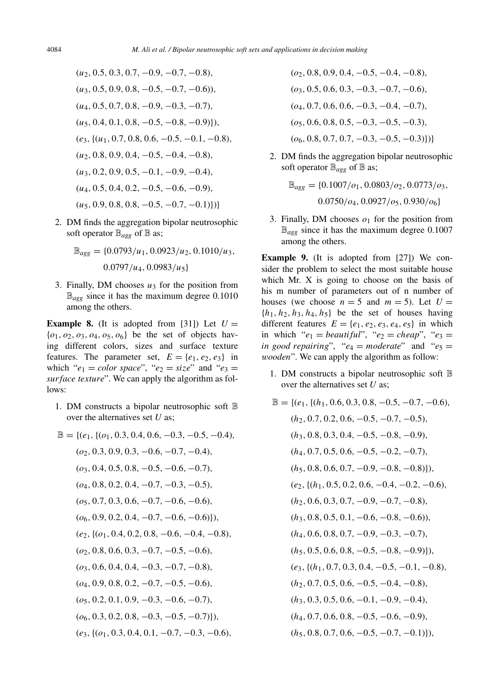$$
(u_2, 0.5, 0.3, 0.7, -0.9, -0.7, -0.8),
$$
  
\n
$$
(u_3, 0.5, 0.9, 0.8, -0.5, -0.7, -0.6)),
$$
  
\n
$$
(u_4, 0.5, 0.7, 0.8, -0.9, -0.3, -0.7),
$$
  
\n
$$
(u_5, 0.4, 0.1, 0.8, -0.5, -0.8, -0.9)),
$$
  
\n
$$
(e_3, \{(u_1, 0.7, 0.8, 0.6, -0.5, -0.1, -0.8),
$$
  
\n
$$
(u_2, 0.8, 0.9, 0.4, -0.5, -0.4, -0.8),
$$
  
\n
$$
(u_3, 0.2, 0.9, 0.5, -0.1, -0.9, -0.4),
$$
  
\n
$$
(u_4, 0.5, 0.4, 0.2, -0.5, -0.6, -0.9),
$$
  
\n
$$
(u_5, 0.9, 0.8, 0.8, -0.5, -0.7, -0.1))})
$$

2. DM finds the aggregation bipolar neutrosophic soft operator  $\mathbb{B}_{agg}$  of  $\mathbb{B}$  as;

$$
\mathbb{B}_{agg} = \{0.0793/u_1, 0.0923/u_2, 0.1010/u_3, 0.0797/u_4, 0.0983/u_5\}
$$

3. Finally, DM chooses  $u_3$  for the position from B<sub>agg</sub> since it has the maximum degree 0.1010 among the others.

**Example 8.** (It is adopted from [31]) Let  $U =$ {*o*1*, o*2*, o*3*, o*4*, o*5*, o*6} be the set of objects having different colors, sizes and surface texture features. The parameter set,  $E = \{e_1, e_2, e_3\}$  in which " $e_1$  = *color space*", " $e_2$  = *size*" and " $e_3$  = *surface texture*". We can apply the algorithm as follows:

1. DM constructs a bipolar neutrosophic soft B over the alternatives set *U* as;

$$
\mathbb{B} = \{ (e_1, \{ (o_1, 0.3, 0.4, 0.6, -0.3, -0.5, -0.4), (o_2, 0.3, 0.9, 0.3, -0.6, -0.7, -0.4), (o_3, 0.4, 0.5, 0.8, -0.5, -0.6, -0.7), (o_4, 0.8, 0.2, 0.4, -0.7, -0.3, -0.5), (o_5, 0.7, 0.3, 0.6, -0.7, -0.6, -0.6), (o_6, 0.9, 0.2, 0.4, -0.7, -0.6, -0.6) \},\n(e_2, \{(o_1, 0.4, 0.2, 0.8, -0.6, -0.4, -0.8), (o_2, 0.8, 0.6, 0.3, -0.7, -0.5, -0.6), (o_3, 0.6, 0.4, 0.4, -0.3, -0.7, -0.8), (o_4, 0.9, 0.8, 0.2, -0.7, -0.5, -0.6), (o_5, 0.2, 0.1, 0.9, -0.3, -0.6, -0.7), (o_6, 0.3, 0.2, 0.8, -0.3, -0.5, -0.7) \},\n(e_3, \{(o_1, 0.3, 0.4, 0.1, -0.7, -0.3, -0.6), -0.6, -0.7, -0.8, -0.6)\}
$$

- (*o*2*,* 0*.*8*,* 0*.*9*,* 0*.*4*,* −0*.*5*,* −0*.*4*,* −0*.*8)*,* (*o*3*,* 0*.*5*,* 0*.*6*,* 0*.*3*,* −0*.*3*,* −0*.*7*,* −0*.*6)*,* (*o*4*,* 0*.*7*,* 0*.*6*,* 0*.*6*,* −0*.*3*,* −0*.*4*,* −0*.*7)*,* (*o*5*,* 0*.*6*,* 0*.*8*,* 0*.*5*,* −0*.*3*,* −0*.*5*,* −0*.*3)*,* (*o*6*,* 0*.*8*,* 0*.*7*,* 0*.*7*,* −0*.*3*,* −0*.*5*,* −0*.*3)})}
- 2. DM finds the aggregation bipolar neutrosophic soft operator  $\mathbb{B}_{agg}$  of  $\mathbb{B}$  as;

$$
\mathbb{B}_{agg} = \{0.1007/o_1, 0.0803/o_2, 0.0773/o_3, 0.0750/o_4, 0.0927/o_5, 0.930/o_6\}
$$

3. Finally, DM chooses  $o_1$  for the position from B<sub>agg</sub> since it has the maximum degree 0.1007 among the others.

**Example 9.** (It is adopted from [27]) We consider the problem to select the most suitable house which Mr. X is going to choose on the basis of his m number of parameters out of n number of houses (we choose  $n = 5$  and  $m = 5$ ). Let  $U =$  ${h_1, h_2, h_3, h_4, h_5}$  be the set of houses having different features  $E = \{e_1, e_2, e_3, e_4, e_5\}$  in which in which " $e_1 = \text{beautiful"}, \text{ "}e_2 = \text{cheap"}, \text{ "}e_3 =$ *in good repairing*", " $e_4$  = *moderate*" and " $e_5$  = *wooden*". We can apply the algorithm as follow:

- 1. DM constructs a bipolar neutrosophic soft  $\mathbb B$ over the alternatives set *U* as;
- $\mathbb{B} = \{ (e_1, \{(h_1, 0.6, 0.3, 0.8, -0.5, -0.7, -0.6),$ (*h*2*,* 0*.*7*,* 0*.*2*,* 0*.*6*,* −0*.*5*,* −0*.*7*,* −0*.*5)*,* (*h*3*,* 0*.*8*,* 0*.*3*,* 0*.*4*,* −0*.*5*,* −0*.*8*,* −0*.*9)*,* (*h*4*,* 0*.*7*,* 0*.*5*,* 0*.*6*,* −0*.*5*,* −0*.*2*,* −0*.*7)*,* (*h*5*,* 0*.*8*,* 0*.*6*,* 0*.*7*,* −0*.*9*,* −0*.*8*,* −0*.*8)})*,* (*e*2*,*{(*h*1*,* 0*.*5*,* 0*.*2*,* 0*.*6*,* −0*.*4*,* −0*.*2*,* −0*.*6)*,* (*h*2*,* 0*.*6*,* 0*.*3*,* 0*.*7*,* −0*.*9*,* −0*.*7*,* −0*.*8)*,* (*h*3*,* 0*.*8*,* 0*.*5*,* 0*.*1*,* −0*.*6*,* −0*.*8*,* −0*.*6))*,* (*h*4*,* 0*.*6*,* 0*.*8*,* 0*.*7*,* −0*.*9*,* −0*.*3*,* −0*.*7)*,* (*h*5*,* 0*.*5*,* 0*.*6*,* 0*.*8*,* −0*.*5*,* −0*.*8*,* −0*.*9)})*,* (*e*3*,*{(*h*1*,* 0*.*7*,* 0*.*3*,* 0*.*4*,* −0*.*5*,* −0*.*1*,* −0*.*8)*,* (*h*2*,* 0*.*7*,* 0*.*5*,* 0*.*6*,* −0*.*5*,* −0*.*4*,* −0*.*8)*,* (*h*3*,* 0*.*3*,* 0*.*5*,* 0*.*6*,* −0*.*1*,* −0*.*9*,* −0*.*4)*,* (*h*4*,* 0*.*7*,* 0*.*6*,* 0*.*8*,* −0*.*5*,* −0*.*6*,* −0*.*9)*,* (*h*5*,* 0*.*8*,* 0*.*7*,* 0*.*6*,* −0*.*5*,* −0*.*7*,* −0*.*1)})*,*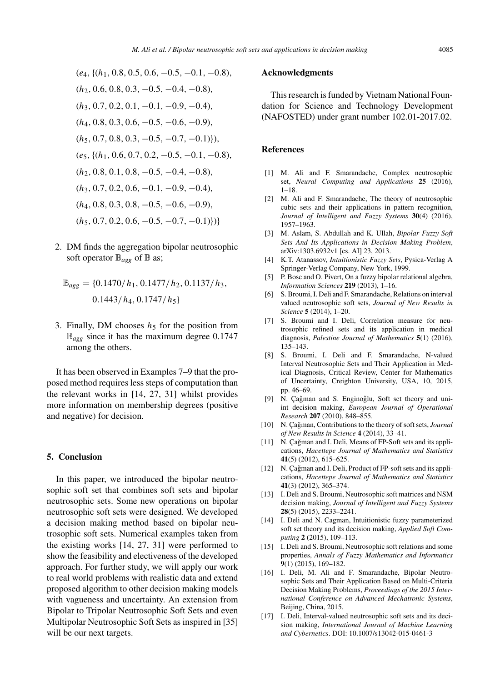- (*e*4*,*{(*h*1*,* 0*.*8*,* 0*.*5*,* 0*.*6*,* −0*.*5*,* −0*.*1*,* −0*.*8)*,* (*h*2*,* 0*.*6*,* 0*.*8*,* 0*.*3*,* −0*.*5*,* −0*.*4*,* −0*.*8)*,* (*h*3*,* 0*.*7*,* 0*.*2*,* 0*.*1*,* −0*.*1*,* −0*.*9*,* −0*.*4)*,* (*h*4*,* 0*.*8*,* 0*.*3*,* 0*.*6*,* −0*.*5*,* −0*.*6*,* −0*.*9)*,* (*h*5*,* 0*.*7*,* 0*.*8*,* 0*.*3*,* −0*.*5*,* −0*.*7*,* −0*.*1)})*,* (*e*5*,*{(*h*1*,* 0*.*6*,* 0*.*7*,* 0*.*2*,* −0*.*5*,* −0*.*1*,* −0*.*8)*,* (*h*2*,* 0*.*8*,* 0*.*1*,* 0*.*8*,* −0*.*5*,* −0*.*4*,* −0*.*8)*,* (*h*3*,* 0*.*7*,* 0*.*2*,* 0*.*6*,* −0*.*1*,* −0*.*9*,* −0*.*4)*,* (*h*4*,* 0*.*8*,* 0*.*3*,* 0*.*8*,* −0*.*5*,* −0*.*6*,* −0*.*9)*,* (*h*5*,* 0*.*7*,* 0*.*2*,* 0*.*6*,* −0*.*5*,* −0*.*7*,* −0*.*1)})}
- 2. DM finds the aggregation bipolar neutrosophic soft operator  $\mathbb{B}_{agg}$  of  $\mathbb{B}$  as;

$$
\mathbb{B}_{agg} = \{0.1470/h_1, 0.1477/h_2, 0.1137/h_3, 0.1443/h_4, 0.1747/h_5\}
$$

3. Finally, DM chooses  $h<sub>5</sub>$  for the position from  $\mathbb{B}_{\text{age}}$  since it has the maximum degree 0.1747 among the others.

It has been observed in Examples 7–9 that the proposed method requires less steps of computation than the relevant works in [14, 27, 31] whilst provides more information on membership degrees (positive and negative) for decision.

## **5. Conclusion**

In this paper, we introduced the bipolar neutrosophic soft set that combines soft sets and bipolar neutrosophic sets. Some new operations on bipolar neutrosophic soft sets were designed. We developed a decision making method based on bipolar neutrosophic soft sets. Numerical examples taken from the existing works [14, 27, 31] were performed to show the feasibility and electiveness of the developed approach. For further study, we will apply our work to real world problems with realistic data and extend proposed algorithm to other decision making models with vagueness and uncertainty. An extension from Bipolar to Tripolar Neutrosophic Soft Sets and even Multipolar Neutrosophic Soft Sets as inspired in [35] will be our next targets.

## **Acknowledgments**

This research is funded by Vietnam National Foundation for Science and Technology Development (NAFOSTED) under grant number 102.01-2017.02.

#### **References**

- [1] M. Ali and F. Smarandache, Complex neutrosophic set, *Neural Computing and Applications* **25** (2016), 1–18.
- [2] M. Ali and F. Smarandache, The theory of neutrosophic cubic sets and their applications in pattern recognition, *Journal of Intelligent and Fuzzy Systems* **30**(4) (2016), 1957–1963.
- [3] M. Aslam, S. Abdullah and K. Ullah, *Bipolar Fuzzy Soft Sets And Its Applications in Decision Making Problem*, arXiv:1303.6932v1 [cs. AI] 23, 2013.
- [4] K.T. Atanassov, *Intuitionistic Fuzzy Sets*, Pysica-Verlag A Springer-Verlag Company, New York, 1999.
- [5] P. Bosc and O. Pivert, On a fuzzy bipolar relational algebra, *Information Sciences* **219** (2013), 1–16.
- [6] S. Broumi, I. Deli and F. Smarandache, Relations on interval valued neutrosophic soft sets, *Journal of New Results in Science* **5** (2014), 1–20.
- [7] S. Broumi and I. Deli, Correlation measure for neutrosophic refined sets and its application in medical diagnosis, *Palestine Journal of Mathematics* **5**(1) (2016), 135–143.
- [8] S. Broumi, I. Deli and F. Smarandache, N-valued Interval Neutrosophic Sets and Their Application in Medical Diagnosis, Critical Review, Center for Mathematics of Uncertainty, Creighton University, USA, 10, 2015, pp. 46–69.
- [9] N. Çağman and S. Enginoğlu, Soft set theory and uniint decision making, *European Journal of Operational Research* **207** (2010), 848–855.
- [10] N. Cağman, Contributions to the theory of soft sets, *Journal of New Results in Science* **4** (2014), 33–41.
- [11] N. Çağman and I. Deli, Means of FP-Soft sets and its applications, *Hacettepe Journal of Mathematics and Statistics* **41**(5) (2012), 615–625.
- [12] N. Cağman and I. Deli, Product of FP-soft sets and its applications, *Hacettepe Journal of Mathematics and Statistics* **41**(3) (2012), 365–374.
- [13] I. Deli and S. Broumi, Neutrosophic soft matrices and NSM decision making, *Journal of Intelligent and Fuzzy Systems* **28**(5) (2015), 2233–2241.
- [14] I. Deli and N. Cagman, Intuitionistic fuzzy parameterized soft set theory and its decision making, *Applied Soft Computing* **2** (2015), 109–113.
- [15] I. Deli and S. Broumi, Neutrosophic soft relations and some properties, *Annals of Fuzzy Mathematics and Informatics* **9**(1) (2015), 169–182.
- [16] I. Deli, M. Ali and F. Smarandache, Bipolar Neutrosophic Sets and Their Application Based on Multi-Criteria Decision Making Problems, *Proceedings of the 2015 International Conference on Advanced Mechatronic Systems*, Beijing, China, 2015.
- [17] I. Deli, Interval-valued neutrosophic soft sets and its decision making, *International Journal of Machine Learning and Cybernetics*. DOI: 10.1007/s13042-015-0461-3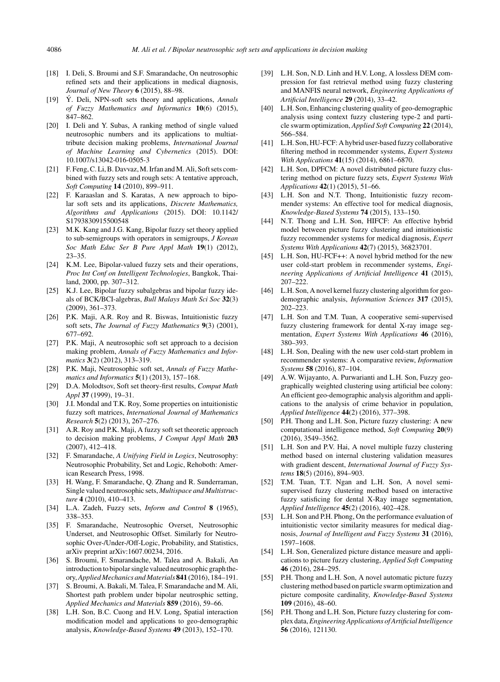- [18] I. Deli, S. Broumi and S.F. Smarandache, On neutrosophic refined sets and their applications in medical diagnosis, *Journal of New Theory* **6** (2015), 88–98.
- [19] Ý. Deli, NPN-soft sets theory and applications, *Annals of Fuzzy Mathematics and Informatics* **10**(6) (2015), 847–862.
- [20] I. Deli and Y. Subas, A ranking method of single valued neutrosophic numbers and its applications to multiattribute decision making problems, *International Journal of Machine Learning and Cybernetics* (2015). DOI: 10.1007/s13042-016-0505-3
- [21] F. Feng, C. Li, B. Davvaz, M. Irfan and M. Ali, Soft sets combined with fuzzy sets and rough sets: A tentative approach, *Soft Computing* **14** (2010), 899–911.
- [22] F. Karaaslan and S. Karatas, A new approach to bipolar soft sets and its applications, *Discrete Mathematics, Algorithms and Applications* (2015). DOI: 10.1142/ S1793830915500548
- [23] M.K. Kang and J.G. Kang, Bipolar fuzzy set theory applied to sub-semigroups with operators in semigroups, *J Korean Soc Math Educ Ser B Pure Appl Math* **19**(1) (2012), 23–35.
- [24] K.M. Lee, Bipolar-valued fuzzy sets and their operations, *Proc Int Conf on Intelligent Technologies*, Bangkok, Thailand, 2000, pp. 307–312.
- [25] K.J. Lee, Bipolar fuzzy subalgebras and bipolar fuzzy ideals of BCK/BCI-algebras, *Bull Malays Math Sci Soc* **32**(3) (2009), 361–373.
- [26] P.K. Maji, A.R. Roy and R. Biswas, Intuitionistic fuzzy soft sets, *The Journal of Fuzzy Mathematics* **9**(3) (2001), 677–692.
- [27] P.K. Maji, A neutrosophic soft set approach to a decision making problem, *Annals of Fuzzy Mathematics and Informatics* **3**(2) (2012), 313–319.
- [28] P.K. Maji, Neutrosophic soft set, *Annals of Fuzzy Mathematics and Informatics* **5**(1) (2013), 157–168.
- [29] D.A. Molodtsov, Soft set theory-first results, *Comput Math Appl* **37** (1999), 19–31.
- [30] J.I. Mondal and T.K. Roy, Some properties on intuitionistic fuzzy soft matrices, *International Journal of Mathematics Research* **5**(2) (2013), 267–276.
- [31] A.R. Roy and P.K. Maji, A fuzzy soft set theoretic approach to decision making problems, *J Comput Appl Math* **203** (2007), 412–418.
- [32] F. Smarandache, *A Unifying Field in Logics*, Neutrosophy: Neutrosophic Probability, Set and Logic, Rehoboth: American Research Press, 1998.
- [33] H. Wang, F. Smarandache, Q. Zhang and R. Sunderraman, Single valued neutrosophic sets, *Multispace and Multistructure* **4** (2010), 410–413.
- [34] L.A. Zadeh, Fuzzy sets, *Inform and Control* **8** (1965), 338–353.
- [35] F. Smarandache, Neutrosophic Overset, Neutrosophic Underset, and Neutrosophic Offset. Similarly for Neutrosophic Over-/Under-/Off-Logic, Probability, and Statistics, arXiv preprint arXiv:1607.00234, 2016.
- [36] S. Broumi, F. Smarandache, M. Talea and A. Bakali, An introduction to bipolar single valued neutrosophic graph theory,*Applied Mechanics and Materials* **841** (2016), 184–191.
- [37] S. Broumi, A. Bakali, M. Talea, F. Smarandache and M. Ali, Shortest path problem under bipolar neutrosphic setting, *Applied Mechanics and Materials* **859** (2016), 59–66.
- [38] L.H. Son, B.C. Cuong and H.V. Long, Spatial interaction modification model and applications to geo-demographic analysis, *Knowledge-Based Systems* **49** (2013), 152–170.
- [39] L.H. Son, N.D. Linh and H.V. Long, A lossless DEM compression for fast retrieval method using fuzzy clustering and MANFIS neural network, *Engineering Applications of Artificial Intelligence* **29** (2014), 33–42.
- [40] L.H. Son, Enhancing clustering quality of geo-demographic analysis using context fuzzy clustering type-2 and particle swarm optimization, *Applied Soft Computing* **22** (2014), 566–584.
- [41] L.H. Son, HU-FCF: A hybrid user-based fuzzy collaborative filtering method in recommender systems, *Expert Systems With Applications* **41**(15) (2014), 6861–6870.
- [42] L.H. Son, DPFCM: A novel distributed picture fuzzy clustering method on picture fuzzy sets, *Expert Systems With Applications* **42**(1) (2015), 51–66.
- [43] L.H. Son and N.T. Thong, Intuitionistic fuzzy recommender systems: An effective tool for medical diagnosis, *Knowledge-Based Systems* **74** (2015), 133–150.
- [44] N.T. Thong and L.H. Son, HIFCF: An effective hybrid model between picture fuzzy clustering and intuitionistic fuzzy recommender systems for medical diagnosis, *Expert Systems With Applications* **42**(7) (2015), 36823701.
- [45] L.H. Son, HU-FCF++: A novel hybrid method for the new user cold-start problem in recommender systems, *Engineering Applications of Artificial Intelligence* **41** (2015), 207–222.
- [46] L.H. Son, A novel kernel fuzzy clustering algorithm for geodemographic analysis, *Information Sciences* **317** (2015), 202–223.
- [47] L.H. Son and T.M. Tuan, A cooperative semi-supervised fuzzy clustering framework for dental X-ray image segmentation, *Expert Systems With Applications* **46** (2016), 380–393.
- [48] L.H. Son, Dealing with the new user cold-start problem in recommender systems: A comparative review, *Information Systems* **58** (2016), 87–104.
- [49] A.W. Wijayanto, A. Purwarianti and L.H. Son, Fuzzy geographically weighted clustering using artificial bee colony: An efficient geo-demographic analysis algorithm and applications to the analysis of crime behavior in population, *Applied Intelligence* **44**(2) (2016), 377–398.
- [50] P.H. Thong and L.H. Son, Picture fuzzy clustering: A new computational intelligence method, *Soft Computing* **20**(9) (2016), 3549–3562.
- [51] L.H. Son and P.V. Hai, A novel multiple fuzzy clustering method based on internal clustering validation measures with gradient descent, *International Journal of Fuzzy Systems* **18**(5) (2016), 894–903.
- [52] T.M. Tuan, T.T. Ngan and L.H. Son, A novel semisupervised fuzzy clustering method based on interactive fuzzy satisficing for dental X-Ray image segmentation, *Applied Intelligence* **45**(2) (2016), 402–428.
- [53] L.H. Son and P.H. Phong, On the performance evaluation of intuitionistic vector similarity measures for medical diagnosis, *Journal of Intelligent and Fuzzy Systems* **31** (2016), 1597–1608.
- [54] L.H. Son, Generalized picture distance measure and applications to picture fuzzy clustering, *Applied Soft Computing* **46** (2016), 284–295.
- [55] P.H. Thong and L.H. Son, A novel automatic picture fuzzy clustering method based on particle swarm optimization and picture composite cardinality, *Knowledge-Based Systems* **109** (2016), 48–60.
- [56] P.H. Thong and L.H. Son, Picture fuzzy clustering for complex data,*Engineering Applications of Artificial Intelligence* **56** (2016), 121130.